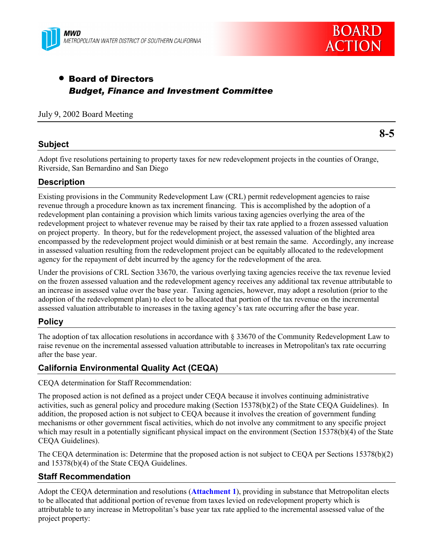



**8-5**

# • Board of Directors *Budget, Finance and Investment Committee*

### July 9, 2002 Board Meeting

# **Subject**

Adopt five resolutions pertaining to property taxes for new redevelopment projects in the counties of Orange, Riverside, San Bernardino and San Diego

# **Description**

Existing provisions in the Community Redevelopment Law (CRL) permit redevelopment agencies to raise revenue through a procedure known as tax increment financing. This is accomplished by the adoption of a redevelopment plan containing a provision which limits various taxing agencies overlying the area of the redevelopment project to whatever revenue may be raised by their tax rate applied to a frozen assessed valuation on project property. In theory, but for the redevelopment project, the assessed valuation of the blighted area encompassed by the redevelopment project would diminish or at best remain the same. Accordingly, any increase in assessed valuation resulting from the redevelopment project can be equitably allocated to the redevelopment agency for the repayment of debt incurred by the agency for the redevelopment of the area.

Under the provisions of CRL Section 33670, the various overlying taxing agencies receive the tax revenue levied on the frozen assessed valuation and the redevelopment agency receives any additional tax revenue attributable to an increase in assessed value over the base year. Taxing agencies, however, may adopt a resolution (prior to the adoption of the redevelopment plan) to elect to be allocated that portion of the tax revenue on the incremental assessed valuation attributable to increases in the taxing agencyís tax rate occurring after the base year.

# **Policy**

The adoption of tax allocation resolutions in accordance with ß 33670 of the Community Redevelopment Law to raise revenue on the incremental assessed valuation attributable to increases in Metropolitan's tax rate occurring after the base year.

# **California Environmental Quality Act (CEQA)**

CEQA determination for Staff Recommendation:

The proposed action is not defined as a project under CEQA because it involves continuing administrative activities, such as general policy and procedure making (Section 15378(b)(2) of the State CEQA Guidelines). In addition, the proposed action is not subject to CEQA because it involves the creation of government funding mechanisms or other government fiscal activities, which do not involve any commitment to any specific project which may result in a potentially significant physical impact on the environment (Section 15378(b)(4) of the State CEQA Guidelines).

The CEQA determination is: Determine that the proposed action is not subject to CEQA per Sections 15378(b)(2) and 15378(b)(4) of the State CEQA Guidelines.

# **Staff Recommendation**

Adopt the CEQA determination and resolutions (**Attachment 1**), providing in substance that Metropolitan elects to be allocated that additional portion of revenue from taxes levied on redevelopment property which is attributable to any increase in Metropolitanís base year tax rate applied to the incremental assessed value of the project property: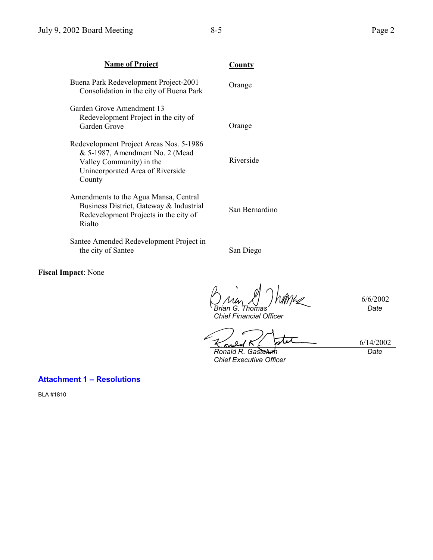| <b>Name of Project</b>                                                                                                                               | County         |
|------------------------------------------------------------------------------------------------------------------------------------------------------|----------------|
| Buena Park Redevelopment Project-2001<br>Consolidation in the city of Buena Park                                                                     | Orange         |
| Garden Grove Amendment 13<br>Redevelopment Project in the city of<br>Garden Grove                                                                    | Orange         |
| Redevelopment Project Areas Nos. 5-1986<br>& 5-1987, Amendment No. 2 (Mead<br>Valley Community) in the<br>Unincorporated Area of Riverside<br>County | Riverside      |
| Amendments to the Agua Mansa, Central<br>Business District, Gateway & Industrial<br>Redevelopment Projects in the city of<br>Rialto                  | San Bernardino |
| Santee Amended Redevelopment Project in<br>the city of Santee                                                                                        | San Diego      |

**Fiscal Impact**: None

6/6/2002 *Brian G. Thomas Date*

*Chief Financial Officer*

stet 6/14/2002  $\boldsymbol{O}$ k <u>مى</u>

*Ronald R. Gastelum Chief Executive Officer*

*Date*

# **Attachment 1 - Resolutions**

BLA #1810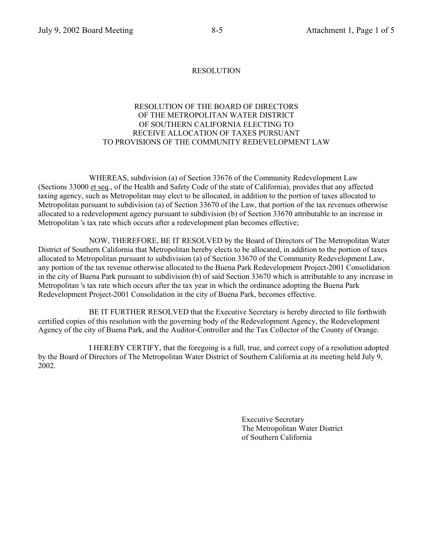#### RESOLUTION OF THE BOARD OF DIRECTORS OF THE METROPOLITAN WATER DISTRICT OF SOUTHERN CALIFORNIA ELECTING TO RECEIVE ALLOCATION OF TAXES PURSUANT TO PROVISIONS OF THE COMMUNITY REDEVELOPMENT LAW

WHEREAS, subdivision (a) of Section 33676 of the Community Redevelopment Law (Sections 33000 et seq., of the Health and Safety Code of the state of California), provides that any affected taxing agency, such as Metropolitan may elect to be allocated, in addition to the portion of taxes allocated to Metropolitan pursuant to subdivision (a) of Section 33670 of the Law, that portion of the tax revenues otherwise allocated to a redevelopment agency pursuant to subdivision (b) of Section 33670 attributable to an increase in Metropolitan 's tax rate which occurs after a redevelopment plan becomes effective;

NOW, THEREFORE, BE IT RESOLVED by the Board of Directors of The Metropolitan Water District of Southern California that Metropolitan hereby elects to be allocated, in addition to the portion of taxes allocated to Metropolitan pursuant to subdivision (a) of Section 33670 of the Community Redevelopment Law, any portion of the tax revenue otherwise allocated to the Buena Park Redevelopment Project-2001 Consolidation in the city of Buena Park pursuant to subdivision (b) of said Section 33670 which is attributable to any increase in Metropolitan 's tax rate which occurs after the tax year in which the ordinance adopting the Buena Park Redevelopment Project-2001 Consolidation in the city of Buena Park, becomes effective.

BE IT FURTHER RESOLVED that the Executive Secretary is hereby directed to file forthwith certified copies of this resolution with the governing body of the Redevelopment Agency, the Redevelopment Agency of the city of Buena Park, and the Auditor-Controller and the Tax Collector of the County of Orange.

I HEREBY CERTIFY, that the foregoing is a full, true, and correct copy of a resolution adopted by the Board of Directors of The Metropolitan Water District of Southern California at its meeting held July 9, 2002.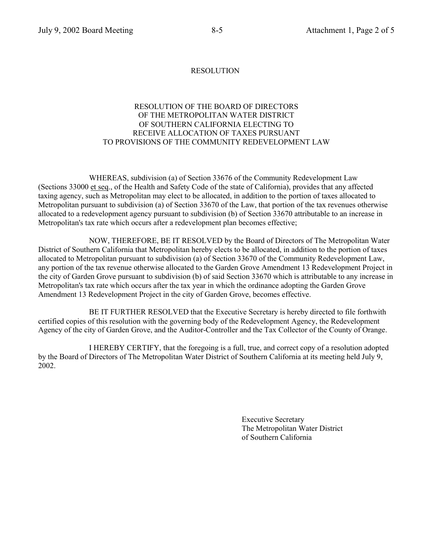#### RESOLUTION OF THE BOARD OF DIRECTORS OF THE METROPOLITAN WATER DISTRICT OF SOUTHERN CALIFORNIA ELECTING TO RECEIVE ALLOCATION OF TAXES PURSUANT TO PROVISIONS OF THE COMMUNITY REDEVELOPMENT LAW

WHEREAS, subdivision (a) of Section 33676 of the Community Redevelopment Law (Sections 33000 et seq., of the Health and Safety Code of the state of California), provides that any affected taxing agency, such as Metropolitan may elect to be allocated, in addition to the portion of taxes allocated to Metropolitan pursuant to subdivision (a) of Section 33670 of the Law, that portion of the tax revenues otherwise allocated to a redevelopment agency pursuant to subdivision (b) of Section 33670 attributable to an increase in Metropolitan's tax rate which occurs after a redevelopment plan becomes effective;

NOW, THEREFORE, BE IT RESOLVED by the Board of Directors of The Metropolitan Water District of Southern California that Metropolitan hereby elects to be allocated, in addition to the portion of taxes allocated to Metropolitan pursuant to subdivision (a) of Section 33670 of the Community Redevelopment Law, any portion of the tax revenue otherwise allocated to the Garden Grove Amendment 13 Redevelopment Project in the city of Garden Grove pursuant to subdivision (b) of said Section 33670 which is attributable to any increase in Metropolitan's tax rate which occurs after the tax year in which the ordinance adopting the Garden Grove Amendment 13 Redevelopment Project in the city of Garden Grove, becomes effective.

BE IT FURTHER RESOLVED that the Executive Secretary is hereby directed to file forthwith certified copies of this resolution with the governing body of the Redevelopment Agency, the Redevelopment Agency of the city of Garden Grove, and the Auditor-Controller and the Tax Collector of the County of Orange.

I HEREBY CERTIFY, that the foregoing is a full, true, and correct copy of a resolution adopted by the Board of Directors of The Metropolitan Water District of Southern California at its meeting held July 9, 2002.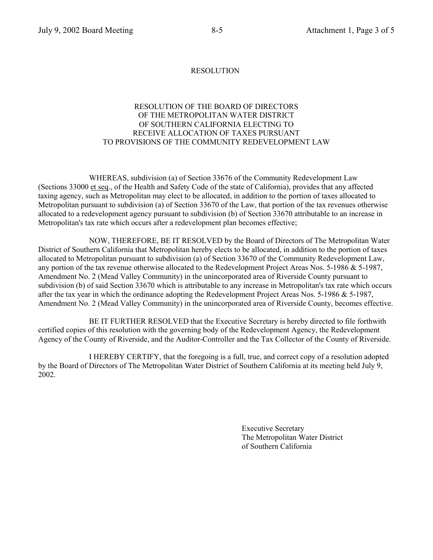#### RESOLUTION OF THE BOARD OF DIRECTORS OF THE METROPOLITAN WATER DISTRICT OF SOUTHERN CALIFORNIA ELECTING TO RECEIVE ALLOCATION OF TAXES PURSUANT TO PROVISIONS OF THE COMMUNITY REDEVELOPMENT LAW

WHEREAS, subdivision (a) of Section 33676 of the Community Redevelopment Law (Sections 33000 et seq., of the Health and Safety Code of the state of California), provides that any affected taxing agency, such as Metropolitan may elect to be allocated, in addition to the portion of taxes allocated to Metropolitan pursuant to subdivision (a) of Section 33670 of the Law, that portion of the tax revenues otherwise allocated to a redevelopment agency pursuant to subdivision (b) of Section 33670 attributable to an increase in Metropolitan's tax rate which occurs after a redevelopment plan becomes effective;

NOW, THEREFORE, BE IT RESOLVED by the Board of Directors of The Metropolitan Water District of Southern California that Metropolitan hereby elects to be allocated, in addition to the portion of taxes allocated to Metropolitan pursuant to subdivision (a) of Section 33670 of the Community Redevelopment Law, any portion of the tax revenue otherwise allocated to the Redevelopment Project Areas Nos. 5-1986 & 5-1987, Amendment No. 2 (Mead Valley Community) in the unincorporated area of Riverside County pursuant to subdivision (b) of said Section 33670 which is attributable to any increase in Metropolitan's tax rate which occurs after the tax year in which the ordinance adopting the Redevelopment Project Areas Nos. 5-1986 & 5-1987, Amendment No. 2 (Mead Valley Community) in the unincorporated area of Riverside County, becomes effective.

BE IT FURTHER RESOLVED that the Executive Secretary is hereby directed to file forthwith certified copies of this resolution with the governing body of the Redevelopment Agency, the Redevelopment Agency of the County of Riverside, and the Auditor-Controller and the Tax Collector of the County of Riverside.

I HEREBY CERTIFY, that the foregoing is a full, true, and correct copy of a resolution adopted by the Board of Directors of The Metropolitan Water District of Southern California at its meeting held July 9, 2002.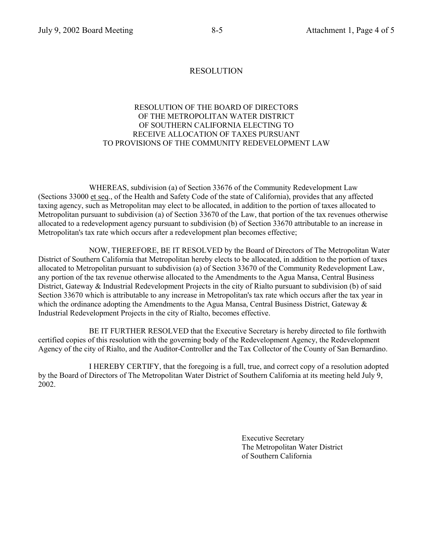#### RESOLUTION OF THE BOARD OF DIRECTORS OF THE METROPOLITAN WATER DISTRICT OF SOUTHERN CALIFORNIA ELECTING TO RECEIVE ALLOCATION OF TAXES PURSUANT TO PROVISIONS OF THE COMMUNITY REDEVELOPMENT LAW

WHEREAS, subdivision (a) of Section 33676 of the Community Redevelopment Law (Sections 33000 et seq., of the Health and Safety Code of the state of California), provides that any affected taxing agency, such as Metropolitan may elect to be allocated, in addition to the portion of taxes allocated to Metropolitan pursuant to subdivision (a) of Section 33670 of the Law, that portion of the tax revenues otherwise allocated to a redevelopment agency pursuant to subdivision (b) of Section 33670 attributable to an increase in Metropolitan's tax rate which occurs after a redevelopment plan becomes effective;

NOW, THEREFORE, BE IT RESOLVED by the Board of Directors of The Metropolitan Water District of Southern California that Metropolitan hereby elects to be allocated, in addition to the portion of taxes allocated to Metropolitan pursuant to subdivision (a) of Section 33670 of the Community Redevelopment Law, any portion of the tax revenue otherwise allocated to the Amendments to the Agua Mansa, Central Business District, Gateway & Industrial Redevelopment Projects in the city of Rialto pursuant to subdivision (b) of said Section 33670 which is attributable to any increase in Metropolitan's tax rate which occurs after the tax year in which the ordinance adopting the Amendments to the Agua Mansa, Central Business District, Gateway & Industrial Redevelopment Projects in the city of Rialto, becomes effective.

BE IT FURTHER RESOLVED that the Executive Secretary is hereby directed to file forthwith certified copies of this resolution with the governing body of the Redevelopment Agency, the Redevelopment Agency of the city of Rialto, and the Auditor-Controller and the Tax Collector of the County of San Bernardino.

I HEREBY CERTIFY, that the foregoing is a full, true, and correct copy of a resolution adopted by the Board of Directors of The Metropolitan Water District of Southern California at its meeting held July 9, 2002.